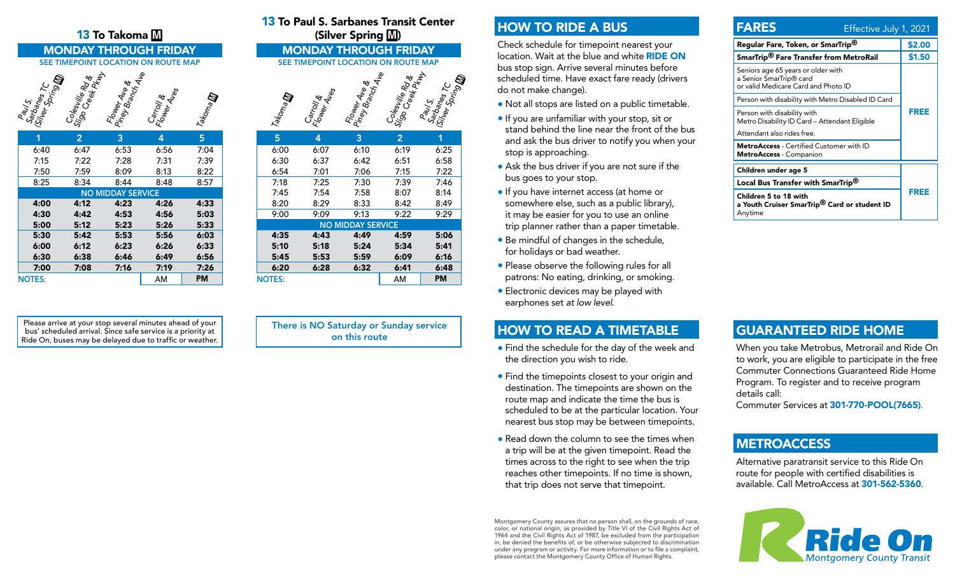#### 13 To Takoma M

#### MONDAY THROUGH FRIDAY MONDAY THROUGH FRIDAY SEE TIMEPOINT LOCATION ON ROUTE MAP SEE TIMEPOINT LOCATION ON ROUTE MAP



| 1             | 2    | 3                        | 4    | 5    |
|---------------|------|--------------------------|------|------|
| 6:40          | 6:47 | 6:53                     | 6:56 | 7:04 |
| 7:15          | 7:22 | 7:28                     | 7:31 | 7:39 |
| 7:50          | 7:59 | 8:09                     | 8:13 | 8:22 |
| 8:25          | 8:34 | 8:44                     | 8:48 | 8:57 |
|               |      | <b>NO MIDDAY SERVICE</b> |      |      |
| 4:00          | 4:12 | 4:23                     | 4:26 | 4:33 |
| 4:30          | 4:42 | 4:53                     | 4:56 | 5:03 |
| 5:00          | 5:12 | 5:23                     | 5:26 | 5:33 |
| 5:30          | 5:42 | 5:53                     | 5:56 | 6:03 |
| 6:00          | 6:12 | 6:23                     | 6:26 | 6:33 |
| 6:30          | 6:38 | 6:46                     | 6:49 | 6:56 |
| 7:00          | 7:08 | 7:16                     | 7:19 | 7:26 |
| <b>NOTES:</b> |      |                          | AM   | PM   |

Please arrive at your stop several minutes ahead of your bus' scheduled arrival. Since safe service is a priority at Ride On, buses may be delayed due to traffic or weather. 13 To Paul S. Sarbanes Transit Center (Silver Spring M)



|                          |               |      |      | - ,            |           |  |  |
|--------------------------|---------------|------|------|----------------|-----------|--|--|
|                          | 5             | 4    | 3    | $\overline{2}$ | 1         |  |  |
|                          | 6:00          | 6:07 | 6:10 | 6:19           | 6:25      |  |  |
|                          | 6:30          | 6:37 | 6:42 | 6:51           | 6:58      |  |  |
|                          | 6:54          | 7:01 | 7:06 | 7:15           | 7:22      |  |  |
|                          | 7:18          | 7:25 | 7:30 | 7:39           | 7:46      |  |  |
|                          | 7:45          | 7:54 | 7:58 | 8:07           | 8:14      |  |  |
|                          | 8:20          | 8:29 | 8:33 | 8:42           | 8:49      |  |  |
|                          | 9:00          | 9:09 | 9:13 | 9:22           | 9:29      |  |  |
| <b>NO MIDDAY SERVICE</b> |               |      |      |                |           |  |  |
|                          | 4:35          | 4:43 | 4:49 | 4:59           | 5:06      |  |  |
|                          | 5:10          | 5:18 | 5:24 | 5:34           | 5:41      |  |  |
|                          | 5:45          | 5:53 | 5:59 | 6:09           | 6:16      |  |  |
|                          | 6:20          | 6:28 | 6:32 | 6:41           | 6:48      |  |  |
|                          | <b>NOTES:</b> |      |      | AM             | <b>PM</b> |  |  |
|                          |               |      |      |                |           |  |  |

There is NO Saturday or Sunday service on this route

## HOW TO RIDE A BUS

Check schedule for timepoint nearest your location. Wait at the blue and white RIDE ON bus stop sign. Arrive several minutes before scheduled time. Have exact fare ready (drivers do not make change).

- Not all stops are listed on a public timetable.
- If you are unfamiliar with your stop, sit or stand behind the line near the front of the bus and ask the bus driver to notify you when your stop is approaching.
- Ask the bus driver if you are not sure if the bus goes to your stop.
- If you have internet access (at home or somewhere else, such as a public library), it may be easier for you to use an online trip planner rather than a paper timetable.
- Be mindful of changes in the schedule, for holidays or bad weather.
- Please observe the following rules for all patrons: No eating, drinking, or smoking.
- Electronic devices may be played with earphones set *at low level*.

### HOW TO READ A TIMETABLE

- Find the schedule for the day of the week and the direction you wish to ride.
- Find the timepoints closest to your origin and destination. The timepoints are shown on the route map and indicate the time the bus is scheduled to be at the particular location. Your nearest bus stop may be between timepoints.
- Read down the column to see the times when a trip will be at the given timepoint. Read the times across to the right to see when the trip reaches other timepoints. If no time is shown, that trip does not serve that timepoint.

Montgomery County assures that no person shall, on the grounds of race, color, or national origin, as provided by Title VI of the Civil Rights Act of 1964 and the Civil Rights Act of 1987, be excluded from the participation in, be denied the benefits of, or be otherwise subjected to discrimination under any program or activity. For more information or to file a complaint, please contact the Montgomery County Office of Human Rights.

| <b>FARES</b>                                                                                         | Effective July 1, 2021 |  |  |
|------------------------------------------------------------------------------------------------------|------------------------|--|--|
| Regular Fare, Token, or SmarTrip <sup>®</sup>                                                        | \$2.00                 |  |  |
| SmarTrip <sup>®</sup> Fare Transfer from MetroRail                                                   | \$1.50                 |  |  |
| Seniors age 65 years or older with<br>a Senior SmarTrip® card<br>or valid Medicare Card and Photo ID |                        |  |  |
| Person with disability with Metro Disabled ID Card                                                   | FREE                   |  |  |
| Person with disability with<br>Metro Disability ID Card - Attendant Eligible                         |                        |  |  |
| Attendant also rides free.                                                                           |                        |  |  |
| <b>MetroAccess</b> - Certified Customer with ID<br>MetroAccess - Companion                           |                        |  |  |
| Children under age 5                                                                                 |                        |  |  |
| Local Bus Transfer with SmarTrip <sup>®</sup>                                                        | FREE                   |  |  |
| Children 5 to 18 with<br>a Youth Cruiser SmarTrip <sup>®</sup> Card or student ID<br>Anytime         |                        |  |  |

### GUARANTEED RIDE HOME

When you take Metrobus, Metrorail and Ride On to work, you are eligible to participate in the free Commuter Connections Guaranteed Ride Home Program. To register and to receive program details call:

Commuter Services at 301-770-POOL(7665).

### **METROACCESS**

Alternative paratransit service to this Ride On route for people with certified disabilities is available. Call MetroAccess at 301-562-5360.